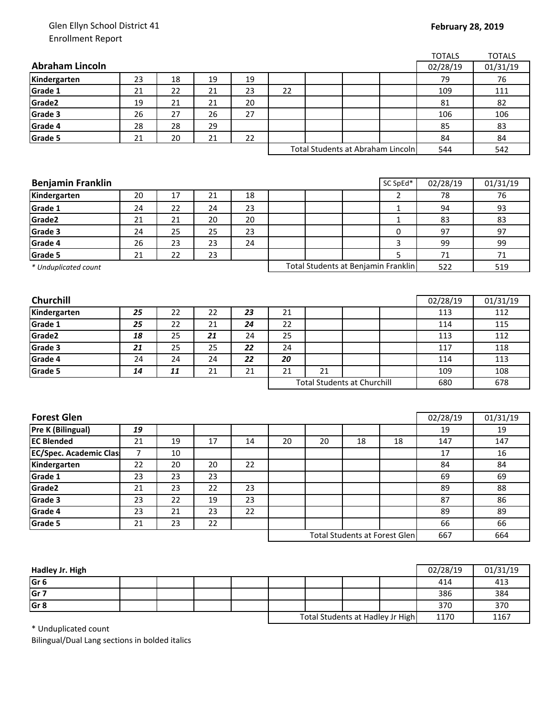## Glen Ellyn School District 41 Enrollment Report

|                               |    |    |        |    |                                     |                                    |    |                                      | <b>TOTALS</b> | <b>TOTALS</b> |
|-------------------------------|----|----|--------|----|-------------------------------------|------------------------------------|----|--------------------------------------|---------------|---------------|
| <b>Abraham Lincoln</b>        |    |    |        |    |                                     |                                    |    |                                      | 02/28/19      | 01/31/19      |
| Kindergarten                  | 23 | 18 | 19     | 19 |                                     |                                    |    |                                      | 79            | 76            |
| Grade 1                       | 21 | 22 | 21     | 23 | 22                                  |                                    |    |                                      | 109           | 111           |
| Grade2                        | 19 | 21 | 21     | 20 |                                     |                                    |    |                                      | 81            | 82            |
| Grade 3                       | 26 | 27 | 26     | 27 |                                     |                                    |    |                                      | 106           | 106           |
| Grade 4                       | 28 | 28 | 29     |    |                                     |                                    |    |                                      | 85            | 83            |
| Grade 5                       | 21 | 20 | 21     | 22 |                                     |                                    |    |                                      | 84            | 84            |
|                               |    |    |        |    |                                     |                                    |    | Total Students at Abraham Lincoln    | 544           | 542           |
|                               |    |    |        |    |                                     |                                    |    |                                      |               |               |
|                               |    |    |        |    |                                     |                                    |    |                                      |               |               |
| <b>Benjamin Franklin</b>      |    |    |        |    |                                     |                                    |    | SC SpEd*                             | 02/28/19      | 01/31/19      |
| Kindergarten                  | 20 | 17 | 21     | 18 |                                     |                                    |    | $\overline{2}$                       | 78            | 76            |
| Grade 1                       | 24 | 22 | 24     | 23 |                                     |                                    |    | 1                                    | 94            | 93            |
| Grade2                        | 21 | 21 | 20     | 20 |                                     |                                    |    | $\mathbf{1}$                         | 83            | 83            |
| Grade 3                       | 24 | 25 | 25     | 23 |                                     |                                    |    | 0                                    | 97            | 97            |
| Grade 4                       | 26 | 23 | 23     | 24 |                                     |                                    |    | 3                                    | 99            | 99            |
| Grade 5                       | 21 | 22 | 23     |    |                                     |                                    |    | 5                                    | 71            | 71            |
| * Unduplicated count          |    |    |        |    | Total Students at Benjamin Franklin |                                    |    |                                      | 522           | 519           |
|                               |    |    |        |    |                                     |                                    |    |                                      |               |               |
|                               |    |    |        |    |                                     |                                    |    |                                      |               |               |
| <b>Churchill</b>              |    |    |        |    |                                     |                                    |    |                                      | 02/28/19      | 01/31/19      |
| Kindergarten                  | 25 | 22 | 22     | 23 | 21                                  |                                    |    |                                      | 113           | 112           |
| Grade 1                       | 25 | 22 | 21     | 24 | 22                                  |                                    |    |                                      | 114           | 115           |
| Grade2                        | 18 | 25 | 21     | 24 | 25                                  |                                    |    |                                      | 113           | 112           |
| Grade 3                       | 21 | 25 | 25     | 22 | 24                                  |                                    |    |                                      | 117           | 118           |
| Grade 4                       | 24 | 24 | 24     | 22 | 20                                  |                                    |    |                                      | 114           | 113           |
| Grade 5                       | 14 | 11 | 21     | 21 | 21                                  | 21                                 |    |                                      | 109           | 108           |
|                               |    |    |        |    |                                     | <b>Total Students at Churchill</b> |    |                                      | 680           | 678           |
|                               |    |    |        |    |                                     |                                    |    |                                      |               |               |
|                               |    |    |        |    |                                     |                                    |    |                                      |               |               |
| <b>Forest Glen</b>            |    |    |        |    |                                     |                                    |    |                                      | 02/28/19      | 01/31/19      |
| <b>Pre K (Bilingual)</b>      | 19 |    |        |    |                                     |                                    |    |                                      | 19            | 19            |
| <b>EC Blended</b>             | 21 | 19 | 17     | 14 | 20                                  | 20                                 | 18 | 18                                   | 147           | 147           |
| <b>EC/Spec. Academic Clas</b> | 7  | 10 |        |    |                                     |                                    |    |                                      | 17            | 16            |
| Kindergarten                  | 22 | 20 | $20\,$ | 22 |                                     |                                    |    |                                      | 84            | 84            |
| Grade 1                       | 23 | 23 | 23     |    |                                     |                                    |    |                                      | 69            | 69            |
| Grade2                        | 21 | 23 | 22     | 23 |                                     |                                    |    |                                      | 89            | 88            |
| Grade 3                       | 23 | 22 | 19     | 23 |                                     |                                    |    |                                      | 87            | 86            |
| Grade 4                       | 23 | 21 | 23     | 22 |                                     |                                    |    |                                      | 89            | 89            |
| Grade 5                       | 21 | 23 | 22     |    |                                     |                                    |    |                                      | 66            | 66            |
|                               |    |    |        |    |                                     |                                    |    | <b>Total Students at Forest Glen</b> | 667           | 664           |
|                               |    |    |        |    |                                     |                                    |    |                                      |               |               |

| Hadley Jr. High |  |  |                                  |  |  |      | 02/28/19 | 01/31/19 |
|-----------------|--|--|----------------------------------|--|--|------|----------|----------|
| Gr <sub>6</sub> |  |  |                                  |  |  |      | 414      | 413      |
| Gr <sub>7</sub> |  |  |                                  |  |  |      | 386      | 384      |
| Gr <sub>8</sub> |  |  |                                  |  |  |      | 370      | 370      |
|                 |  |  | Total Students at Hadley Jr High |  |  | 1170 | 1167     |          |

\* Unduplicated count

Bilingual/Dual Lang sections in bolded italics